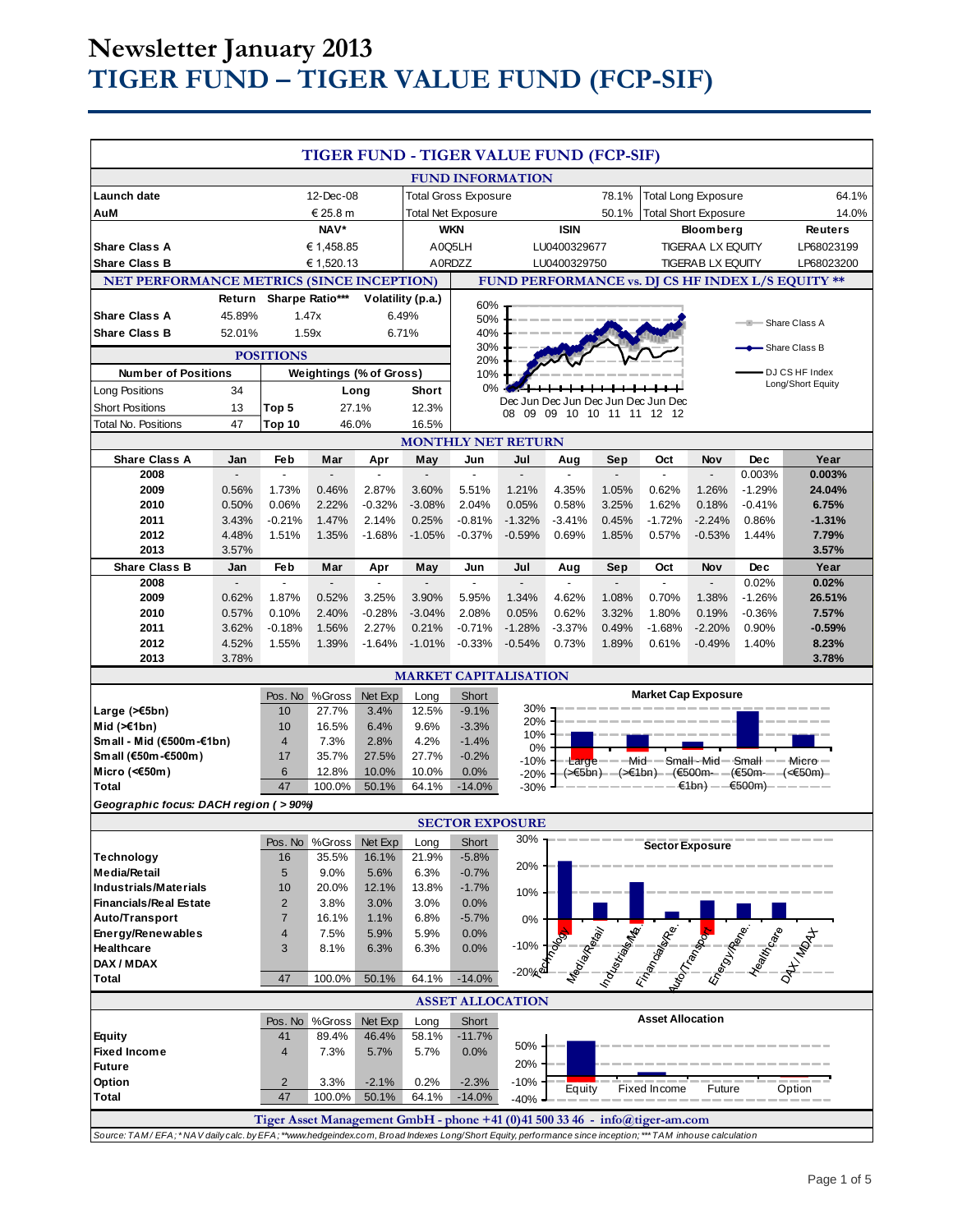# **Newsletter January 2013 TIGER FUND – TIGER VALUE FUND (FCP-SIF)**

| TIGER FUND - TIGER VALUE FUND (FCP-SIF)                                                                                                                   |                       |                                 |                               |                                      |                          |                              |                                 |                            |                                 |                                                                                                                      |                                 |                      |                                     |
|-----------------------------------------------------------------------------------------------------------------------------------------------------------|-----------------------|---------------------------------|-------------------------------|--------------------------------------|--------------------------|------------------------------|---------------------------------|----------------------------|---------------------------------|----------------------------------------------------------------------------------------------------------------------|---------------------------------|----------------------|-------------------------------------|
|                                                                                                                                                           |                       |                                 |                               |                                      |                          | <b>FUND INFORMATION</b>      |                                 |                            |                                 |                                                                                                                      |                                 |                      |                                     |
| Launch date                                                                                                                                               | 12-Dec-08             |                                 |                               | 78.1%<br><b>Total Gross Exposure</b> |                          |                              |                                 | <b>Total Long Exposure</b> |                                 |                                                                                                                      | 64.1%                           |                      |                                     |
| AuM                                                                                                                                                       | € 25.8 m              |                                 |                               | <b>Total Net Exposure</b>            |                          |                              |                                 | 50.1%                      | <b>Total Short Exposure</b>     |                                                                                                                      |                                 | 14.0%                |                                     |
|                                                                                                                                                           | NAV*                  |                                 | <b>WKN</b>                    |                                      |                          | <b>ISIN</b>                  |                                 | <b>Bloomberg</b>           |                                 |                                                                                                                      | Reuters                         |                      |                                     |
| <b>Share Class A</b>                                                                                                                                      |                       | € 1,458.85                      |                               | A0Q5LH                               |                          | LU0400329677                 |                                 | <b>TIGERAA LX EQUITY</b>   |                                 | LP68023199                                                                                                           |                                 |                      |                                     |
| <b>Share Class B</b>                                                                                                                                      |                       |                                 | € 1,520.13                    |                                      |                          | A0RDZZ                       |                                 | LU0400329750               |                                 |                                                                                                                      | <b>TIGERAB LX EQUITY</b>        |                      | LP68023200                          |
| <b>NET PERFORMANCE METRICS (SINCE INCEPTION)</b><br>FUND PERFORMANCE vs. DJ CS HF INDEX L/S EQUITY **                                                     |                       |                                 |                               |                                      |                          |                              |                                 |                            |                                 |                                                                                                                      |                                 |                      |                                     |
| Sharpe Ratio***<br>Return<br>Volatility (p.a.)                                                                                                            |                       |                                 |                               | 60%                                  |                          |                              |                                 |                            |                                 |                                                                                                                      |                                 |                      |                                     |
| <b>Share Class A</b><br>45.89%<br>6.49%<br>1.47x                                                                                                          |                       |                                 | 50%<br><b>- Share Class A</b> |                                      |                          |                              |                                 |                            |                                 |                                                                                                                      |                                 |                      |                                     |
| <b>Share Class B</b><br>1.59x<br>6.71%<br>52.01%                                                                                                          |                       |                                 |                               | 40%<br>30%<br>Share Class B          |                          |                              |                                 |                            |                                 |                                                                                                                      |                                 |                      |                                     |
| <b>POSITIONS</b><br>20%                                                                                                                                   |                       |                                 |                               |                                      |                          |                              |                                 |                            |                                 |                                                                                                                      |                                 |                      |                                     |
| <b>Number of Positions</b>                                                                                                                                |                       |                                 |                               | <b>Weightings (% of Gross)</b>       |                          | 10%                          |                                 |                            |                                 |                                                                                                                      |                                 |                      | DJ CS HF Index<br>Long/Short Equity |
| <b>Long Positions</b>                                                                                                                                     | 34                    |                                 |                               | Long                                 | <b>Short</b>             | 0%                           |                                 |                            |                                 |                                                                                                                      |                                 |                      |                                     |
| <b>Short Positions</b>                                                                                                                                    | 13                    | Top 5                           |                               | 27.1%                                | 12.3%                    |                              | 08                              | 09 09 10 10 11 11 12 12    |                                 | Dec Jun Dec Jun Dec Jun Dec Jun Dec                                                                                  |                                 |                      |                                     |
| Total No. Positions                                                                                                                                       | 47                    | Top 10<br>46.0%                 |                               | 16.5%                                |                          |                              |                                 |                            |                                 |                                                                                                                      |                                 |                      |                                     |
| <b>MONTHLY NET RETURN</b>                                                                                                                                 |                       |                                 |                               |                                      |                          |                              |                                 |                            |                                 |                                                                                                                      |                                 |                      |                                     |
| <b>Share Class A</b><br>2008                                                                                                                              | Jan<br>$\overline{a}$ | Feb<br>$\overline{\phantom{a}}$ | Mar<br>÷.                     | Apr<br>$\overline{a}$                | May<br>$\mathbb{L}$      | Jun<br>$\Box$                | Jul<br>$\overline{\phantom{a}}$ | Aug<br>$\mathbf{r}$        | Sep<br>$\overline{\phantom{a}}$ | Oct<br>$\mathbf{r}$                                                                                                  | Nov<br>$\overline{\phantom{a}}$ | <b>Dec</b><br>0.003% | Year                                |
| 2009                                                                                                                                                      | 0.56%                 | 1.73%                           | 0.46%                         | 2.87%                                | 3.60%                    | 5.51%                        | 1.21%                           | 4.35%                      | 1.05%                           | 0.62%                                                                                                                | 1.26%                           | $-1.29%$             | 0.003%<br>24.04%                    |
| 2010                                                                                                                                                      | 0.50%                 | 0.06%                           | 2.22%                         | $-0.32%$                             | $-3.08%$                 | 2.04%                        | 0.05%                           | 0.58%                      | 3.25%                           | 1.62%                                                                                                                | 0.18%                           | $-0.41%$             | 6.75%                               |
| 2011                                                                                                                                                      | 3.43%                 | $-0.21%$                        | 1.47%                         | 2.14%                                | 0.25%                    | $-0.81%$                     | $-1.32%$                        | $-3.41%$                   | 0.45%                           | $-1.72%$                                                                                                             | $-2.24%$                        | 0.86%                | $-1.31%$                            |
| 2012                                                                                                                                                      | 4.48%                 | 1.51%                           | 1.35%                         | $-1.68%$                             | $-1.05%$                 | $-0.37%$                     | $-0.59%$                        | 0.69%                      | 1.85%                           | 0.57%                                                                                                                | $-0.53%$                        | 1.44%                | 7.79%                               |
| 2013                                                                                                                                                      | 3.57%                 |                                 |                               |                                      |                          |                              |                                 |                            |                                 |                                                                                                                      |                                 |                      | 3.57%                               |
| <b>Share Class B</b>                                                                                                                                      | Jan                   | Feb                             | Mar                           | Apr                                  | May                      | Jun                          | Jul                             | Aug                        | Sep                             | Oct                                                                                                                  | Nov                             | <b>Dec</b>           | Year                                |
| 2008                                                                                                                                                      | $\blacksquare$        | $\blacksquare$                  | $\blacksquare$                | $\blacksquare$                       | $\overline{\phantom{a}}$ | $\blacksquare$               | $\blacksquare$                  | $\sim$                     | $\blacksquare$                  | $\blacksquare$                                                                                                       | $\overline{\phantom{a}}$        | 0.02%                | 0.02%                               |
| 2009                                                                                                                                                      | 0.62%                 | 1.87%                           | 0.52%                         | 3.25%                                | 3.90%                    | 5.95%                        | 1.34%                           | 4.62%                      | 1.08%                           | 0.70%                                                                                                                | 1.38%                           | $-1.26%$             | 26.51%                              |
| 2010<br>2011                                                                                                                                              | 0.57%<br>3.62%        | 0.10%<br>$-0.18%$               | 2.40%<br>1.56%                | $-0.28%$<br>2.27%                    | $-3.04%$<br>0.21%        | 2.08%<br>$-0.71%$            | 0.05%<br>$-1.28%$               | 0.62%<br>$-3.37%$          | 3.32%<br>0.49%                  | 1.80%<br>$-1.68%$                                                                                                    | 0.19%<br>$-2.20%$               | $-0.36%$<br>0.90%    | 7.57%<br>$-0.59%$                   |
| 2012                                                                                                                                                      | 4.52%                 | 1.55%                           | 1.39%                         | $-1.64%$                             | $-1.01%$                 | $-0.33%$                     | $-0.54%$                        | 0.73%                      | 1.89%                           | 0.61%                                                                                                                | $-0.49%$                        | 1.40%                | 8.23%                               |
| 2013                                                                                                                                                      | 3.78%                 |                                 |                               |                                      |                          |                              |                                 |                            |                                 |                                                                                                                      |                                 |                      | 3.78%                               |
|                                                                                                                                                           |                       |                                 |                               |                                      |                          | <b>MARKET CAPITALISATION</b> |                                 |                            |                                 |                                                                                                                      |                                 |                      |                                     |
|                                                                                                                                                           |                       | Pos. No                         | %Gross                        | Net Exp                              | Long                     | Short                        |                                 |                            |                                 | <b>Market Cap Exposure</b>                                                                                           |                                 |                      |                                     |
| Large $($ $\leq$ 5bn)                                                                                                                                     |                       | 10                              | 27.7%                         | 3.4%                                 | 12.5%                    | $-9.1%$                      | 30%                             |                            |                                 |                                                                                                                      |                                 |                      |                                     |
| Mid $(\ge 1$ bn)                                                                                                                                          |                       | 10                              | 16.5%                         | 6.4%                                 | 9.6%                     | $-3.3%$                      | 20%<br>10%                      |                            |                                 |                                                                                                                      |                                 |                      |                                     |
| Small - Mid (€500m-€1bn)                                                                                                                                  |                       | $\overline{4}$                  | 7.3%                          | 2.8%                                 | 4.2%                     | $-1.4%$                      | 0%                              |                            |                                 |                                                                                                                      |                                 |                      |                                     |
| Small (€50m-€500m)                                                                                                                                        |                       | 17                              | 35.7%                         | 27.5%                                | 27.7%                    | $-0.2%$                      | $-10%$                          |                            |                                 | $Large---Mid--Small-Mid--Small---Micro-$                                                                             |                                 |                      |                                     |
| Micro (< $60$ m)                                                                                                                                          |                       | 6<br>47                         | 12.8%                         | 10.0%                                | 10.0%                    | 0.0%                         | $-20%$                          |                            |                                 | (>€5bn)- —(>€1bn)- —(€500m— —(€50m— —(<€50m)-                                                                        |                                 |                      |                                     |
| $\epsilon$ 1bn) — $\epsilon$ 500m)——————<br>100.0%<br>50.1%<br>64.1%<br>$-30%$<br><b>Total</b><br>$-14.0%$                                                |                       |                                 |                               |                                      |                          |                              |                                 |                            |                                 |                                                                                                                      |                                 |                      |                                     |
| Geographic focus: DACH region (>90%)<br><b>SECTOR EXPOSURE</b>                                                                                            |                       |                                 |                               |                                      |                          |                              |                                 |                            |                                 |                                                                                                                      |                                 |                      |                                     |
|                                                                                                                                                           |                       |                                 | Pos. No %Gross                | Net Exp                              | Long                     | Short                        | 30%                             |                            |                                 |                                                                                                                      |                                 |                      |                                     |
| <b>Technology</b>                                                                                                                                         |                       | 16                              | 35.5%                         | 16.1%                                | 21.9%                    | $-5.8%$                      |                                 |                            |                                 | <b>Sector Exposure</b>                                                                                               |                                 |                      |                                     |
| <b>Media/Retail</b>                                                                                                                                       |                       | 5                               | 9.0%                          | 5.6%                                 | 6.3%                     | $-0.7%$                      | 20%                             |                            |                                 |                                                                                                                      |                                 |                      |                                     |
| <b>Industrials/Materials</b>                                                                                                                              |                       | 10                              | 20.0%                         | 12.1%                                | 13.8%                    | $-1.7%$                      | 10%                             |                            |                                 |                                                                                                                      |                                 |                      |                                     |
| <b>Financials/Real Estate</b>                                                                                                                             |                       | $\overline{c}$                  | 3.8%                          | 3.0%                                 | 3.0%                     | 0.0%                         |                                 |                            |                                 |                                                                                                                      |                                 |                      |                                     |
| Auto/Transport                                                                                                                                            |                       | $\overline{7}$                  | 16.1%                         | 1.1%                                 | 6.8%                     | $-5.7%$                      | 0%                              |                            |                                 |                                                                                                                      |                                 |                      |                                     |
| Energy/Renewables                                                                                                                                         |                       | 4                               | 7.5%                          | 5.9%                                 | 5.9%                     | 0.0%                         | $-10%$                          |                            |                                 |                                                                                                                      |                                 |                      |                                     |
| Healthcare<br>DAX / MDAX                                                                                                                                  |                       | 3                               | 8.1%                          | 6.3%                                 | 6.3%                     | 0.0%                         |                                 |                            |                                 |                                                                                                                      |                                 |                      |                                     |
| <b>Total</b>                                                                                                                                              |                       | 47                              | 100.0%                        | 50.1%                                | 64.1%                    | $-14.0%$                     | $-20%$                          |                            |                                 | <b>Algebra de la Caracción de la Caracción de la Caracción de la Caracción de la Caracción de la Caracción de la</b> |                                 |                      |                                     |
|                                                                                                                                                           |                       |                                 |                               |                                      |                          |                              |                                 |                            |                                 |                                                                                                                      |                                 |                      |                                     |
|                                                                                                                                                           |                       |                                 |                               |                                      |                          | <b>ASSET ALLOCATION</b>      |                                 |                            |                                 | <b>Asset Allocation</b>                                                                                              |                                 |                      |                                     |
| <b>Equity</b>                                                                                                                                             |                       | Pos. No<br>41                   | %Gross<br>89.4%               | Net Exp<br>46.4%                     | Long<br>58.1%            | Short<br>$-11.7%$            |                                 |                            |                                 |                                                                                                                      |                                 |                      |                                     |
| <b>Fixed Income</b>                                                                                                                                       |                       | 4                               | 7.3%                          | 5.7%                                 | 5.7%                     | 0.0%                         | 50%                             |                            |                                 |                                                                                                                      |                                 |                      |                                     |
| <b>Future</b>                                                                                                                                             |                       |                                 |                               |                                      |                          |                              | 20%                             |                            |                                 |                                                                                                                      |                                 |                      |                                     |
| Option                                                                                                                                                    |                       | $\overline{2}$                  | 3.3%                          | $-2.1%$                              | 0.2%                     | $-2.3%$                      | $-10%$                          |                            |                                 |                                                                                                                      |                                 |                      |                                     |
| <b>Total</b>                                                                                                                                              |                       | 47                              | 100.0%                        | 50.1%                                | 64.1%                    | $-14.0%$                     | $-40%$                          | Equity                     |                                 | Fixed Income                                                                                                         | Future                          |                      | Option                              |
| Tiger Asset Management GmbH - phone +41 (0)41 500 33 46 - info@tiger-am.com                                                                               |                       |                                 |                               |                                      |                          |                              |                                 |                            |                                 |                                                                                                                      |                                 |                      |                                     |
| Source: TAM/EFA; *NAV daily calc. by EFA; **www.hedgeindex.com, Broad Indexes Long/Short Equity, performance since inception; *** TAM inhouse calculation |                       |                                 |                               |                                      |                          |                              |                                 |                            |                                 |                                                                                                                      |                                 |                      |                                     |
|                                                                                                                                                           |                       |                                 |                               |                                      |                          |                              |                                 |                            |                                 |                                                                                                                      |                                 |                      |                                     |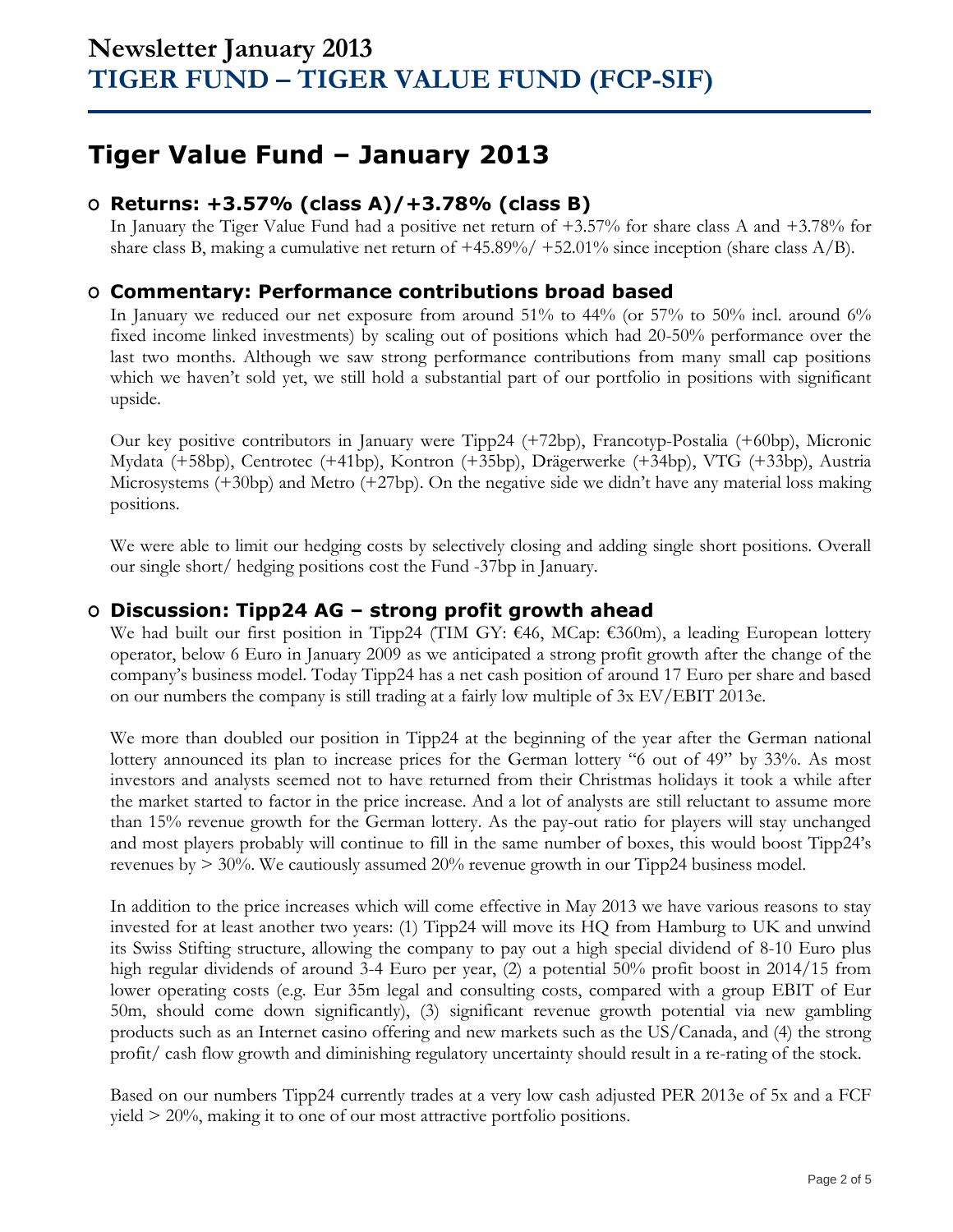# **Tiger Value Fund – January 2013**

## **O Returns: +3.57% (class A)/+3.78% (class B)**

In January the Tiger Value Fund had a positive net return of +3.57% for share class A and +3.78% for share class B, making a cumulative net return of  $+45.89\%/+52.01\%$  since inception (share class A/B).

## **O Commentary: Performance contributions broad based**

In January we reduced our net exposure from around 51% to 44% (or 57% to 50% incl. around 6% fixed income linked investments) by scaling out of positions which had 20-50% performance over the last two months. Although we saw strong performance contributions from many small cap positions which we haven't sold yet, we still hold a substantial part of our portfolio in positions with significant upside.

Our key positive contributors in January were Tipp24 (+72bp), Francotyp-Postalia (+60bp), Micronic Mydata (+58bp), Centrotec (+41bp), Kontron (+35bp), Drägerwerke (+34bp), VTG (+33bp), Austria Microsystems (+30bp) and Metro (+27bp). On the negative side we didn't have any material loss making positions.

We were able to limit our hedging costs by selectively closing and adding single short positions. Overall our single short/ hedging positions cost the Fund -37bp in January.

## **O Discussion: Tipp24 AG – strong profit growth ahead**

We had built our first position in Tipp24 (TIM GY: €46, MCap: €360m), a leading European lottery operator, below 6 Euro in January 2009 as we anticipated a strong profit growth after the change of the company's business model. Today Tipp24 has a net cash position of around 17 Euro per share and based on our numbers the company is still trading at a fairly low multiple of 3x EV/EBIT 2013e.

We more than doubled our position in Tipp24 at the beginning of the year after the German national lottery announced its plan to increase prices for the German lottery "6 out of 49" by 33%. As most investors and analysts seemed not to have returned from their Christmas holidays it took a while after the market started to factor in the price increase. And a lot of analysts are still reluctant to assume more than 15% revenue growth for the German lottery. As the pay-out ratio for players will stay unchanged and most players probably will continue to fill in the same number of boxes, this would boost Tipp24's revenues by > 30%. We cautiously assumed 20% revenue growth in our Tipp24 business model.

In addition to the price increases which will come effective in May 2013 we have various reasons to stay invested for at least another two years: (1) Tipp24 will move its HQ from Hamburg to UK and unwind its Swiss Stifting structure, allowing the company to pay out a high special dividend of 8-10 Euro plus high regular dividends of around 3-4 Euro per year, (2) a potential 50% profit boost in 2014/15 from lower operating costs (e.g. Eur 35m legal and consulting costs, compared with a group EBIT of Eur 50m, should come down significantly), (3) significant revenue growth potential via new gambling products such as an Internet casino offering and new markets such as the US/Canada, and (4) the strong profit/ cash flow growth and diminishing regulatory uncertainty should result in a re-rating of the stock.

Based on our numbers Tipp24 currently trades at a very low cash adjusted PER 2013e of 5x and a FCF yield > 20%, making it to one of our most attractive portfolio positions.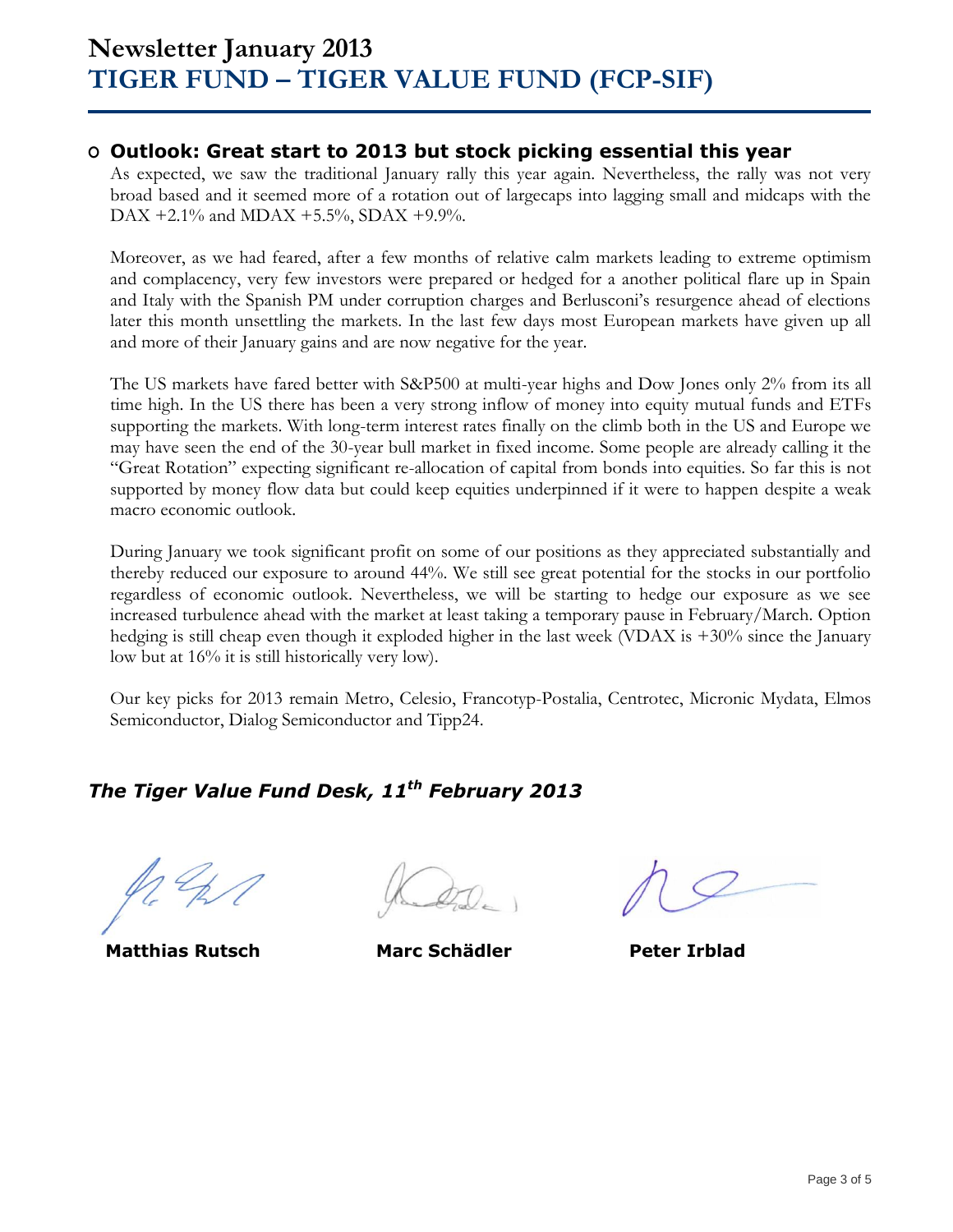### **O Outlook: Great start to 2013 but stock picking essential this year**

As expected, we saw the traditional January rally this year again. Nevertheless, the rally was not very broad based and it seemed more of a rotation out of largecaps into lagging small and midcaps with the DAX +2.1% and MDAX +5.5%, SDAX +9.9%.

Moreover, as we had feared, after a few months of relative calm markets leading to extreme optimism and complacency, very few investors were prepared or hedged for a another political flare up in Spain and Italy with the Spanish PM under corruption charges and Berlusconi's resurgence ahead of elections later this month unsettling the markets. In the last few days most European markets have given up all and more of their January gains and are now negative for the year.

The US markets have fared better with S&P500 at multi-year highs and Dow Jones only 2% from its all time high. In the US there has been a very strong inflow of money into equity mutual funds and ETFs supporting the markets. With long-term interest rates finally on the climb both in the US and Europe we may have seen the end of the 30-year bull market in fixed income. Some people are already calling it the "Great Rotation" expecting significant re-allocation of capital from bonds into equities. So far this is not supported by money flow data but could keep equities underpinned if it were to happen despite a weak macro economic outlook.

During January we took significant profit on some of our positions as they appreciated substantially and thereby reduced our exposure to around 44%. We still see great potential for the stocks in our portfolio regardless of economic outlook. Nevertheless, we will be starting to hedge our exposure as we see increased turbulence ahead with the market at least taking a temporary pause in February/March. Option hedging is still cheap even though it exploded higher in the last week (VDAX is +30% since the January low but at 16% it is still historically very low).

Our key picks for 2013 remain Metro, Celesio, Francotyp-Postalia, Centrotec, Micronic Mydata, Elmos Semiconductor, Dialog Semiconductor and Tipp24.

# *The Tiger Value Fund Desk, 11 th February 2013*

**Matthias Rutsch Marc Schädler Peter Irblad**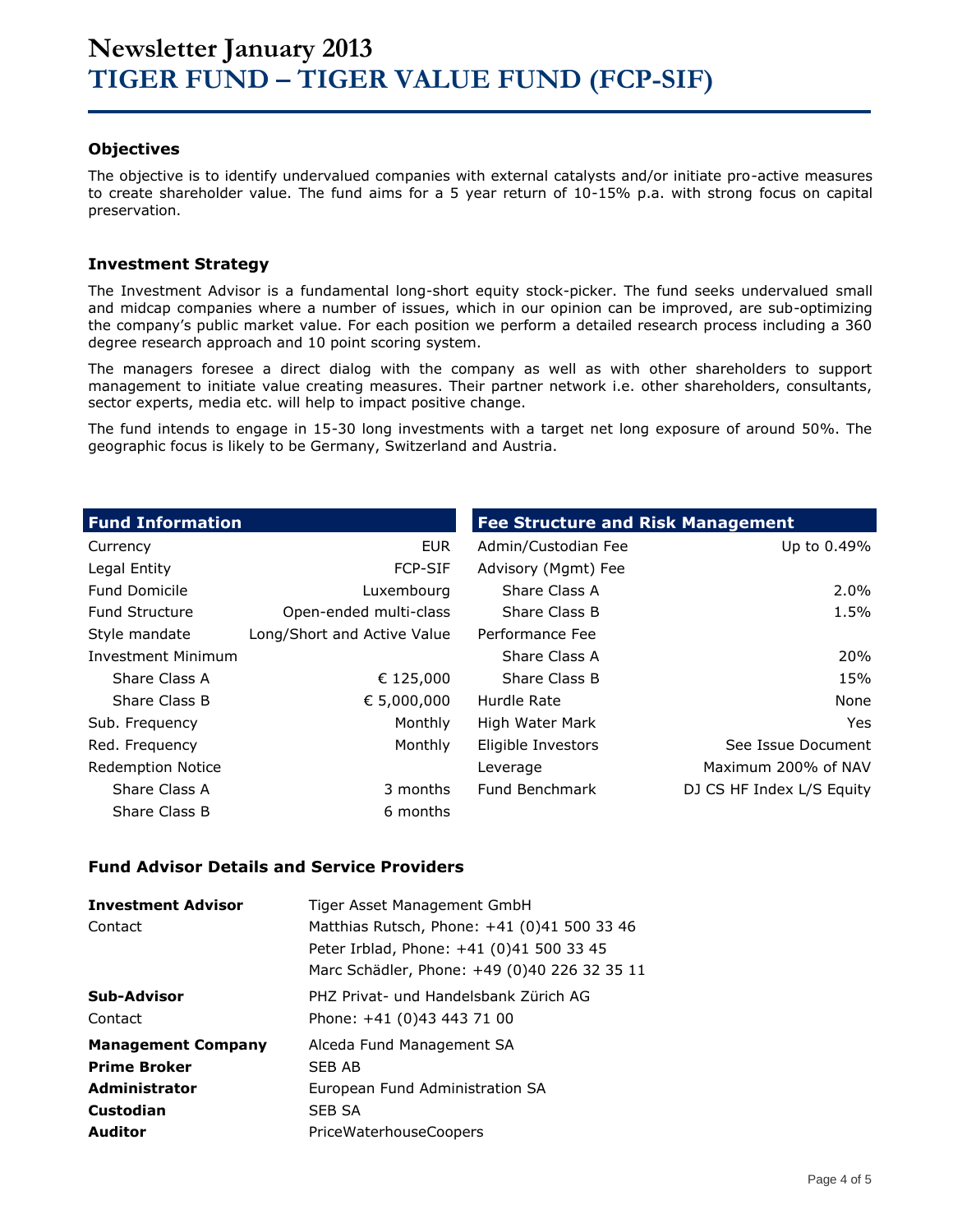### **Objectives**

The objective is to identify undervalued companies with external catalysts and/or initiate pro-active measures to create shareholder value. The fund aims for a 5 year return of 10-15% p.a. with strong focus on capital preservation.

### **Investment Strategy**

The Investment Advisor is a fundamental long-short equity stock-picker. The fund seeks undervalued small and midcap companies where a number of issues, which in our opinion can be improved, are sub-optimizing the company's public market value. For each position we perform a detailed research process including a 360 degree research approach and 10 point scoring system.

The managers foresee a direct dialog with the company as well as with other shareholders to support management to initiate value creating measures. Their partner network i.e. other shareholders, consultants, sector experts, media etc. will help to impact positive change.

The fund intends to engage in 15-30 long investments with a target net long exposure of around 50%. The geographic focus is likely to be Germany, Switzerland and Austria.

| <b>Fund Information</b>  |                             | <b>Fee Structure and Risk Management</b> |                           |
|--------------------------|-----------------------------|------------------------------------------|---------------------------|
| Currency                 | <b>EUR</b>                  | Admin/Custodian Fee                      | Up to 0.49%               |
| Legal Entity             | <b>FCP-SIF</b>              | Advisory (Mgmt) Fee                      |                           |
| <b>Fund Domicile</b>     | Luxembourg                  | Share Class A                            | $2.0\%$                   |
| <b>Fund Structure</b>    | Open-ended multi-class      | Share Class B                            | 1.5%                      |
| Style mandate            | Long/Short and Active Value | Performance Fee                          |                           |
| Investment Minimum       |                             | Share Class A                            | 20%                       |
| Share Class A            | € 125,000                   | Share Class B                            | 15%                       |
| Share Class B            | € 5,000,000                 | Hurdle Rate                              | None                      |
| Sub. Frequency           | Monthly                     | High Water Mark                          | Yes                       |
| Red. Frequency           | Monthly                     | Eligible Investors                       | See Issue Document        |
| <b>Redemption Notice</b> |                             | Leverage                                 | Maximum 200% of NAV       |
| Share Class A            | 3 months                    | Fund Benchmark                           | DJ CS HF Index L/S Equity |
| Share Class B            | 6 months                    |                                          |                           |

### **Fund Advisor Details and Service Providers**

| <b>Investment Advisor</b><br>Contact | Tiger Asset Management GmbH<br>Matthias Rutsch, Phone: +41 (0)41 500 33 46<br>Peter Irblad, Phone: +41 (0)41 500 33 45<br>Marc Schädler, Phone: +49 (0)40 226 32 35 11 |
|--------------------------------------|------------------------------------------------------------------------------------------------------------------------------------------------------------------------|
| Sub-Advisor                          | PHZ Privat- und Handelsbank Zürich AG                                                                                                                                  |
| Contact                              | Phone: +41 (0)43 443 71 00                                                                                                                                             |
| <b>Management Company</b>            | Alceda Fund Management SA                                                                                                                                              |
| <b>Prime Broker</b>                  | SFB AB                                                                                                                                                                 |
| <b>Administrator</b>                 | European Fund Administration SA                                                                                                                                        |
| Custodian                            | SEB SA                                                                                                                                                                 |
| <b>Auditor</b>                       | PriceWaterhouseCoopers                                                                                                                                                 |